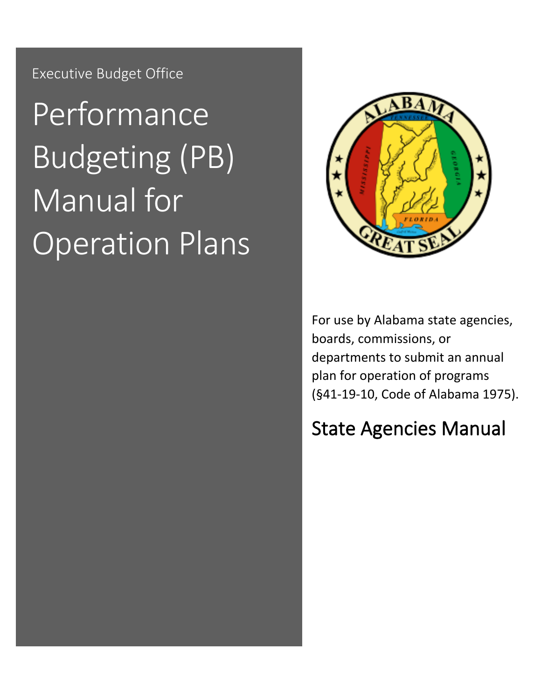Executive Budget Office

# Performance Budgeting (PB) Manual for Operation Plans



For use by Alabama state agencies, boards, commissions, or departments to submit an annual plan for operation of programs (§41-19-10, Code of Alabama 1975).

# <span id="page-0-0"></span>State Agencies Manual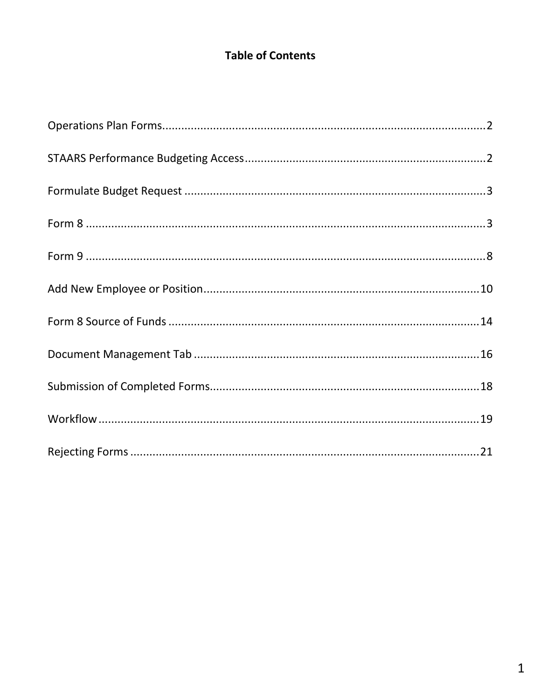# **Table of Contents**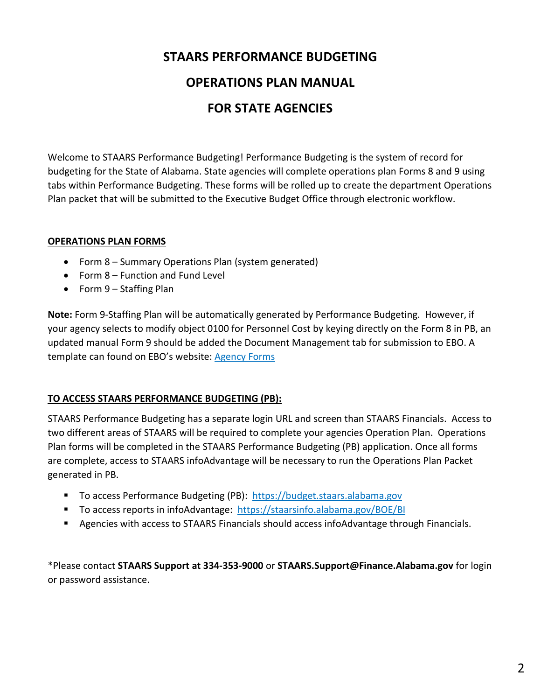# **STAARS PERFORMANCE BUDGETING**

# **OPERATIONS PLAN MANUAL**

# **FOR STATE AGENCIES**

Welcome to STAARS Performance Budgeting! Performance Budgeting is the system of record for budgeting for the State of Alabama. State agencies will complete operations plan Forms 8 and 9 using tabs within Performance Budgeting. These forms will be rolled up to create the department Operations Plan packet that will be submitted to the Executive Budget Office through electronic workflow.

#### **OPERATIONS PLAN FORMS**

- Form 8 Summary Operations Plan (system generated)
- Form 8 Function and Fund Level
- Form 9 Staffing Plan

**Note:** Form 9-Staffing Plan will be automatically generated by Performance Budgeting. However, if your agency selects to modify object 0100 for Personnel Cost by keying directly on the Form 8 in PB, an updated manual Form 9 should be added the Document Management tab for submission to EBO. A template can found on EBO's website: [Agency Forms](http://budget.alabama.gov/wp-content/uploads/sites/9/2018/07/FORMSAgency2019revised.xlsx)

### **TO ACCESS STAARS PERFORMANCE BUDGETING (PB):**

STAARS Performance Budgeting has a separate login URL and screen than STAARS Financials. Access to two different areas of STAARS will be required to complete your agencies Operation Plan. Operations Plan forms will be completed in the STAARS Performance Budgeting (PB) application. Once all forms are complete, access to STAARS infoAdvantage will be necessary to run the Operations Plan Packet generated in PB.

- To access Performance Budgeting (PB): https://budget.staars.alabama.gov
- To access reports in infoAdvantage: <https://staarsinfo.alabama.gov/BOE/BI>
- **Agencies with access to STAARS Financials should access infoAdvantage through Financials.**

\*Please contact **STAARS Support at 334-353-9000** or **STAARS.Support@Finance.Alabama.gov** for login or password assistance.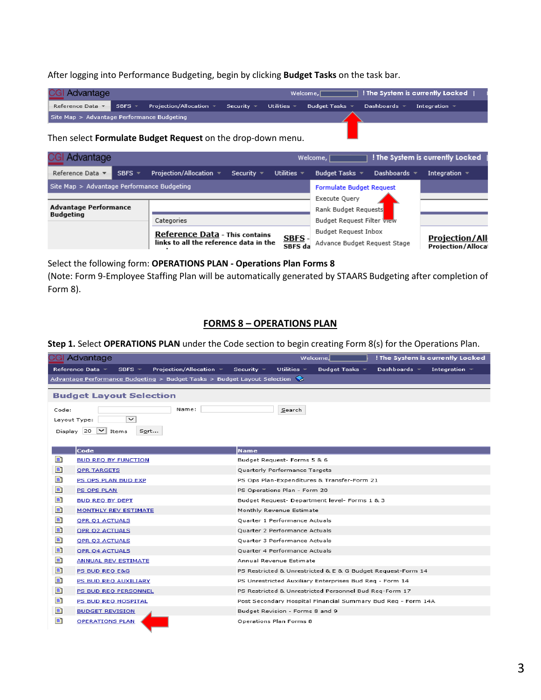After logging into Performance Budgeting, begin by clicking **Budget Tasks** on the task bar.

| <b>CGI Advantage</b>                       |  |                                                                                                |  | Welcome, | $\top$ ! The System is currently Locked $\top$ |                   |  |
|--------------------------------------------|--|------------------------------------------------------------------------------------------------|--|----------|------------------------------------------------|-------------------|--|
|                                            |  | Reference Data v SBFS v Projection/Allocation v Security V Utilities Budget Tasks v Dashboards |  |          |                                                | Integration $\pm$ |  |
| Site Map > Advantage Performance Budgeting |  |                                                                                                |  |          |                                                |                   |  |

#### Then select **Formulate Budget Request** on the drop-down menu.

| <b>Advantage</b>                                 |             |                                                                                 |                                 |                          | ! The System is currently Locked<br>Welcome, [       |                   |                                                    |
|--------------------------------------------------|-------------|---------------------------------------------------------------------------------|---------------------------------|--------------------------|------------------------------------------------------|-------------------|----------------------------------------------------|
| Reference Data v                                 | SBFS $\tau$ | Projection/Allocation ▼                                                         | Security $\sqrt{ }$             | Utilities $\sim$         | Budget Tasks $\sqrt{ }$                              | Dashboards $\sim$ | Integration $\sqrt{ }$                             |
| Site Map > Advantage Performance Budgeting       |             |                                                                                 | <b>Formulate Budget Request</b> |                          |                                                      |                   |                                                    |
|                                                  |             |                                                                                 |                                 |                          | Execute Query                                        |                   |                                                    |
| <b>Advantage Performance</b><br><b>Budgeting</b> |             |                                                                                 |                                 |                          | Rank Budget Requests                                 |                   |                                                    |
|                                                  |             | Categories                                                                      |                                 |                          | <b>Budget Request Filter View</b>                    |                   |                                                    |
|                                                  |             | <b>Reference Data - This contains</b><br>links to all the reference data in the |                                 | <u>SBFS</u> -<br>SBFS da | Budget Request Inbox<br>Advance Budget Request Stage |                   | <b>Projection/All</b><br><b>Projection/Allocal</b> |

Select the following form: **OPERATIONS PLAN - Operations Plan Forms 8** 

(Note: Form 9-Employee Staffing Plan will be automatically generated by STAARS Budgeting after completion of Form 8).

#### **FORMS 8 – OPERATIONS PLAN**

#### **Step 1.** Select **OPERATIONS PLAN** under the Code section to begin creating Form 8(s) for the Operations Plan.

|       | CGI Advantage                                                                            | ! The System is currently Locked<br>Welcome,                                                          |
|-------|------------------------------------------------------------------------------------------|-------------------------------------------------------------------------------------------------------|
|       | Reference Data ▼<br>SBFS $\sim$<br>Projection/Allocation $\sim$                          | Security $\sim$<br>Utilities $\sim$<br>Budget Tasks $\sim$<br>Dashboards $\sim$<br>Integration $\sim$ |
|       | Advantage Performance Budgeting $>$ Budget Tasks $>$ Budget Layout Selection $\clubsuit$ |                                                                                                       |
|       | <b>Budget Layout Selection</b>                                                           |                                                                                                       |
|       | Name:                                                                                    |                                                                                                       |
| Code: | $\check{~}$<br>Layout Type:                                                              | Search                                                                                                |
|       |                                                                                          |                                                                                                       |
|       | $\vee$ Items<br>Display 20<br>Sort                                                       |                                                                                                       |
|       | Code                                                                                     | <b>Name</b>                                                                                           |
| Ð     | <b>BUD REQ BY FUNCTION</b>                                                               | Budget Request- Forms 5 & 6                                                                           |
| Ð     | <b>OPR TARGETS</b>                                                                       | Quarterly Performance Targets                                                                         |
| E.    | PS OPS PLAN BUD EXP                                                                      | PS Ops Plan-Expenditures & Transfer-Form 21                                                           |
| Ð     | <b>PS OPS PLAN</b>                                                                       | PS Operations Plan - Form 20                                                                          |
| E)    | <b>BUD REQ BY DEPT</b>                                                                   | Budget Request- Department level- Forms 1 & 3                                                         |
| Ð     | <b>MONTHLY REV ESTIMATE</b>                                                              | Monthly Revenue Estimate                                                                              |
| E.    | <b>OPR O1 ACTUALS</b>                                                                    | Quarter 1 Performance Actuals                                                                         |
| Ð     | <b>OPR Q2 ACTUALS</b>                                                                    | Quarter 2 Performance Actuals                                                                         |
| Ð     | <b>OPR O3 ACTUALS</b>                                                                    | Quarter 3 Performance Actuals                                                                         |
| E)    | <b>OPR Q4 ACTUALS</b>                                                                    | Quarter 4 Performance Actuals                                                                         |
| Ð     | <b>ANNUAL REV ESTIMATE</b>                                                               | Annual Revenue Estimate                                                                               |
| Ð     | PS BUD REQ E&G                                                                           | PS Restricted & Unrestricted & E & G Budget Request-Form 14                                           |
| E.    | PS BUD REQ AUXILIARY                                                                     | PS Unrestricted Auxiliary Enterprises Bud Req - Form 14                                               |
| Ð     | PS BUD REQ PERSONNEL                                                                     | PS Restricted & Unrestricted Personnel Bud Req-Form 17                                                |
| Đ,    | PS BUD REQ HOSPITAL                                                                      | Post Secondary Hospital Financial Summary Bud Req - Form 14A                                          |
| Đ,    | <b>BUDGET REVISION</b>                                                                   | Budget Revision - Forms 8 and 9                                                                       |
| Ð     | <b>OPERATIONS PLAN</b>                                                                   | Operations Plan Forms 8                                                                               |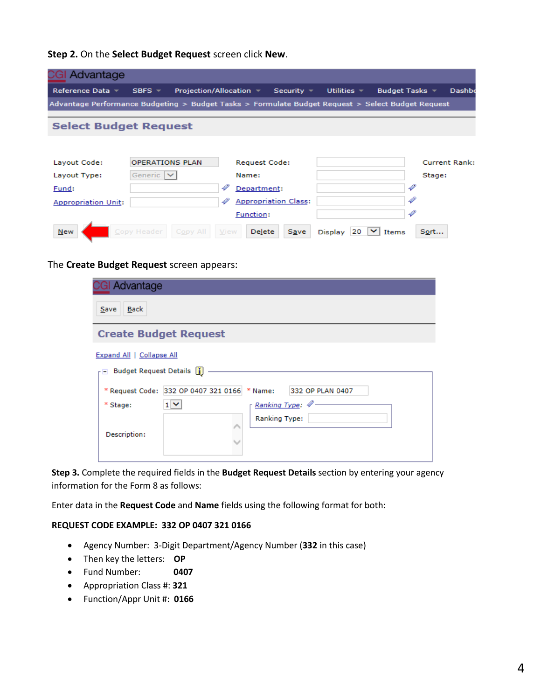**Step 2.** On the **Select Budget Request** screen click **New**.

| CGI Advantage                                                                                     |                         |                                                                                  |                             |                      |                      |                      |
|---------------------------------------------------------------------------------------------------|-------------------------|----------------------------------------------------------------------------------|-----------------------------|----------------------|----------------------|----------------------|
| Reference Data =                                                                                  | SBFS $\neq$             | Projection/Allocation $\overline{\phantom{a}}$ Security $\overline{\phantom{a}}$ |                             | Utilities $\sim$     | Budget Tasks $\sim$  | <b>Dashbo</b>        |
| Advantage Performance Budgeting > Budget Tasks > Formulate Budget Request > Select Budget Request |                         |                                                                                  |                             |                      |                      |                      |
| <b>Select Budget Request</b>                                                                      |                         |                                                                                  |                             |                      |                      |                      |
|                                                                                                   |                         |                                                                                  |                             |                      |                      |                      |
| Layout Code:                                                                                      | <b>OPERATIONS PLAN</b>  |                                                                                  | <b>Request Code:</b>        |                      |                      | <b>Current Rank:</b> |
| Layout Type:                                                                                      | Generic                 | Name:                                                                            |                             |                      | Stage:               |                      |
| Fund:                                                                                             |                         | Department:                                                                      |                             |                      | 4                    |                      |
| <b>Appropriation Unit:</b>                                                                        |                         |                                                                                  | <b>Appropriation Class:</b> |                      |                      |                      |
|                                                                                                   |                         | Function:                                                                        |                             |                      |                      |                      |
| <b>New</b>                                                                                        | Copy Header<br>Copy All | View                                                                             | Delete<br><b>Save</b>       | 20<br><b>Display</b> | Sort<br><b>Items</b> |                      |

The **Create Budget Request** screen appears:

| CGI Advantage                                                                                                                              |                                                                  |  |  |  |  |  |  |
|--------------------------------------------------------------------------------------------------------------------------------------------|------------------------------------------------------------------|--|--|--|--|--|--|
| <b>Back</b><br>Save                                                                                                                        |                                                                  |  |  |  |  |  |  |
| <b>Create Budget Request</b>                                                                                                               |                                                                  |  |  |  |  |  |  |
| <b>Expand All   Collapse All</b><br>$\overline{\phantom{a}}$ Budget Request Details $\begin{bmatrix} \overline{\phantom{a}} \end{bmatrix}$ |                                                                  |  |  |  |  |  |  |
|                                                                                                                                            | * Request Code: 332 OP 0407 321 0166 * Name:<br>332 OP PLAN 0407 |  |  |  |  |  |  |
| * Stage:                                                                                                                                   | Ranking Type: 4<br>$1 -$                                         |  |  |  |  |  |  |
| Description:                                                                                                                               | <b>Ranking Type:</b>                                             |  |  |  |  |  |  |

**Step 3.** Complete the required fields in the **Budget Request Details** section by entering your agency information for the Form 8 as follows:

Enter data in the **Request Code** and **Name** fields using the following format for both:

#### **REQUEST CODE EXAMPLE: 332 OP 0407 321 0166**

- Agency Number: 3-Digit Department/Agency Number (**332** in this case)
- Then key the letters: **OP**
- Fund Number: **0407**
- Appropriation Class #: **321**
- Function/Appr Unit #: **0166**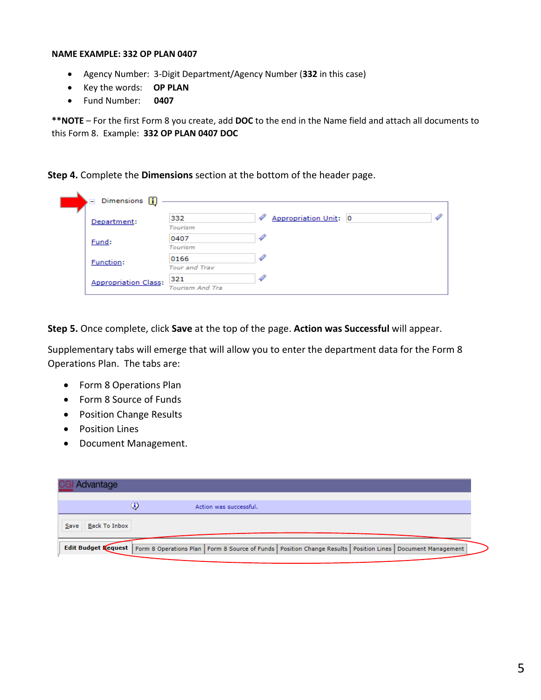#### **NAME EXAMPLE: 332 OP PLAN 0407**

- Agency Number: 3-Digit Department/Agency Number (**332** in this case)
- Key the words: **OP PLAN**
- Fund Number: **0407**

**\*\*NOTE** – For the first Form 8 you create, add **DOC** to the end in the Name field and attach all documents to this Form 8. Example: **332 OP PLAN 0407 DOC**

**Step 4.** Complete the **Dimensions** section at the bottom of the header page.

| Dimensions <b>1</b>         |                        |                            |   |
|-----------------------------|------------------------|----------------------------|---|
| Department:                 | 332                    | 4<br>Appropriation Unit: 0 | 4 |
|                             | <b>Tourism</b>         |                            |   |
| Fund:                       | 0407                   |                            |   |
|                             | <b>Tourism</b>         |                            |   |
| <b>Function:</b>            | 0166                   |                            |   |
|                             | <b>Tour and Trav</b>   |                            |   |
| <b>Appropriation Class:</b> | 321                    |                            |   |
|                             | <b>Tourism And Tra</b> |                            |   |

**Step 5.** Once complete, click **Save** at the top of the page. **Action was Successful** will appear.

Supplementary tabs will emerge that will allow you to enter the department data for the Form 8 Operations Plan. The tabs are:

- Form 8 Operations Plan
- Form 8 Source of Funds
- Position Change Results
- Position Lines
- Document Management.

| <b>CGI Advantage</b>         |    |                                                                                                                                        |  |  |
|------------------------------|----|----------------------------------------------------------------------------------------------------------------------------------------|--|--|
|                              | G) | Action was successful.                                                                                                                 |  |  |
| <b>Back To Inbox</b><br>Save |    |                                                                                                                                        |  |  |
|                              |    | Edit Budget Kequest   Form 8 Operations Plan   Form 8 Source of Funds   Position Change Results   Position Lines   Document Management |  |  |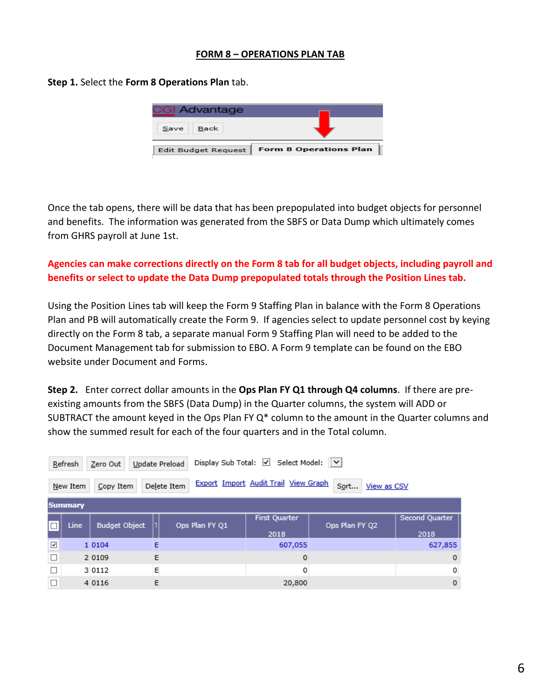#### **FORM 8 – OPERATIONS PLAN TAB**

**Step 1.** Select the **Form 8 Operations Plan** tab.

| <b>CGI Advantage</b>       |                               |
|----------------------------|-------------------------------|
| Back<br>Save               |                               |
| <b>Edit Budget Request</b> | <b>Form 8 Operations Plan</b> |

Once the tab opens, there will be data that has been prepopulated into budget objects for personnel and benefits. The information was generated from the SBFS or Data Dump which ultimately comes from GHRS payroll at June 1st.

## **Agencies can make corrections directly on the Form 8 tab for all budget objects, including payroll and benefits or select to update the Data Dump prepopulated totals through the Position Lines tab.**

Using the Position Lines tab will keep the Form 9 Staffing Plan in balance with the Form 8 Operations Plan and PB will automatically create the Form 9. If agencies select to update personnel cost by keying directly on the Form 8 tab, a separate manual Form 9 Staffing Plan will need to be added to the Document Management tab for submission to EBO. A Form 9 template can be found on the EBO website under Document and Forms.

**Step 2.** Enter correct dollar amounts in the **Ops Plan FY Q1 through Q4 columns**. If there are preexisting amounts from the SBFS (Data Dump) in the Quarter columns, the system will ADD or SUBTRACT the amount keyed in the Ops Plan FY Q\* column to the amount in the Quarter columns and show the summed result for each of the four quarters and in the Total column.

|              | $\overline{\mathsf{v}}$<br>Display Sub Total: $\Box$<br>Select Model:<br>Update Preload<br>Refresh<br>Zero Out |                      |   |                                        |         |                |                |  |  |  |
|--------------|----------------------------------------------------------------------------------------------------------------|----------------------|---|----------------------------------------|---------|----------------|----------------|--|--|--|
|              | Export Import Audit Trail View Graph<br>Sort<br>Delete Item<br>View as CSV<br>Copy Item<br>New Item            |                      |   |                                        |         |                |                |  |  |  |
|              | <b>Summary</b>                                                                                                 |                      |   |                                        |         |                |                |  |  |  |
|              | Line                                                                                                           | <b>Budget Object</b> |   | <b>First Quarter</b><br>Ops Plan FY Q1 |         | Ops Plan FY Q2 | Second Quarter |  |  |  |
|              |                                                                                                                |                      |   |                                        | 2018    |                | 2018           |  |  |  |
| $\checkmark$ |                                                                                                                | 1 0 1 0 4            | E |                                        | 607,055 |                | 627,855        |  |  |  |
| $\Box$       |                                                                                                                | 2 0 1 0 9            | E |                                        | 0       |                | $\mathbf 0$    |  |  |  |
| П            |                                                                                                                | 3 0 1 1 2            | Е |                                        | 0       |                | 0              |  |  |  |
| □            |                                                                                                                | 4 0 1 1 6            | E |                                        | 20,800  |                | $\mathbf 0$    |  |  |  |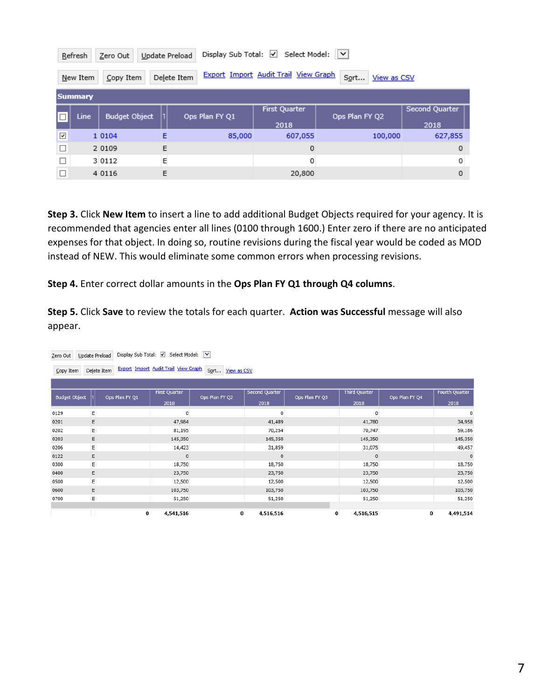|                      | Select Model: V<br>Display Sub Total: √<br>Update Preload<br>Refresh<br>Zero Out                    |                      |   |                |                              |                |                        |  |  |  |  |
|----------------------|-----------------------------------------------------------------------------------------------------|----------------------|---|----------------|------------------------------|----------------|------------------------|--|--|--|--|
|                      | Export Import Audit Trail View Graph<br>Delete Item<br>Sort<br>View as CSV<br>Copy Item<br>New Item |                      |   |                |                              |                |                        |  |  |  |  |
|                      | <b>Summary</b>                                                                                      |                      |   |                |                              |                |                        |  |  |  |  |
|                      | Line                                                                                                | <b>Budget Object</b> |   | Ops Plan FY Q1 | <b>First Quarter</b><br>2018 | Ops Plan FY Q2 | Second Quarter<br>2018 |  |  |  |  |
| $\blacktriangledown$ |                                                                                                     | 1 0 1 0 4            | E | 85,000         | 607,055                      | 100,000        | 627,855                |  |  |  |  |
| $\Box$               |                                                                                                     | 2 0 1 0 9            | E |                | $\circ$                      |                | $\mathbf 0$            |  |  |  |  |
|                      |                                                                                                     | 3 0 1 1 2            | Ε |                | 0                            |                | 0                      |  |  |  |  |
| □                    |                                                                                                     | 4 0 1 1 6            | E |                | 20,800                       |                | 0                      |  |  |  |  |

**Step 3.** Click **New Item** to insert a line to add additional Budget Objects required for your agency. It is recommended that agencies enter all lines (0100 through 1600.) Enter zero if there are no anticipated expenses for that object. In doing so, routine revisions during the fiscal year would be coded as MOD instead of NEW. This would eliminate some common errors when processing revisions.

**Step 4.** Enter correct dollar amounts in the **Ops Plan FY Q1 through Q4 columns**.

**Step 5.** Click **Save** to review the totals for each quarter. **Action was Successful** message will also appear.

| Display Sub Total: Ø Select Model: V<br>Update Preload<br>Zero Out |                                                                                   |                |                      |                |                       |                |                      |                |                       |  |  |
|--------------------------------------------------------------------|-----------------------------------------------------------------------------------|----------------|----------------------|----------------|-----------------------|----------------|----------------------|----------------|-----------------------|--|--|
| Copy Item                                                          | Export Import Audit Trail View Graph<br>Sort<br>Delete Item<br><b>View as CSV</b> |                |                      |                |                       |                |                      |                |                       |  |  |
|                                                                    |                                                                                   |                |                      |                |                       |                |                      |                |                       |  |  |
| <b>Budget Object</b>                                               |                                                                                   | Ops Plan FY Q1 | <b>First Quarter</b> | Ops Plan FY Q2 | <b>Second Quarter</b> | Ops Plan FY Q3 | <b>Third Quarter</b> | Ops Plan FY Q4 | <b>Fourth Quarter</b> |  |  |
|                                                                    |                                                                                   |                | 2018                 |                | 2018                  |                | 2018                 |                | 2018                  |  |  |
| 0129                                                               | $\mathsf E$                                                                       |                | 0                    |                | $^{\circ}$            |                | 0                    |                | 0                     |  |  |
| 0201                                                               | E                                                                                 |                | 47,984               |                | 41,489                |                | 41,780               |                | 34,958                |  |  |
| 0202                                                               | E                                                                                 |                | 81,195               |                | 70,254                |                | 70,747               |                | 59,186                |  |  |
| 0203                                                               | E                                                                                 |                | 145,350              |                | 145,350               |                | 145,350              |                | 145,350               |  |  |
| 0206                                                               | E                                                                                 |                | 14,423               |                | 31,859                |                | 31,075               |                | 49,457                |  |  |
| 0122                                                               | E                                                                                 |                | 0                    |                | $\mathbf 0$           |                | $\circ$              |                | $\mathsf 0$           |  |  |
| 0300                                                               | E                                                                                 |                | 18,750               |                | 18,750                |                | 18,750               |                | 18,750                |  |  |
| 0400                                                               | E                                                                                 |                | 23,750               |                | 23,750                |                | 23,750               |                | 23,750                |  |  |
| 0500                                                               | E                                                                                 |                | 12,500               |                | 12,500                |                | 12,500               |                | 12,500                |  |  |
| 0600                                                               | Ε                                                                                 |                | 103,750              |                | 103,750               |                | 103,750              |                | 103,750               |  |  |
| 0700                                                               | E                                                                                 |                | 51,250               |                | 51,250                |                | 51,250               |                | 51,250                |  |  |
|                                                                    |                                                                                   |                |                      |                |                       |                |                      |                |                       |  |  |
|                                                                    |                                                                                   | 0              | 4,541,516            | $\bf{0}$       | 4,516,516             | $\bf{0}$       | 4,516,515            | $\bf{0}$       | 4,491,514             |  |  |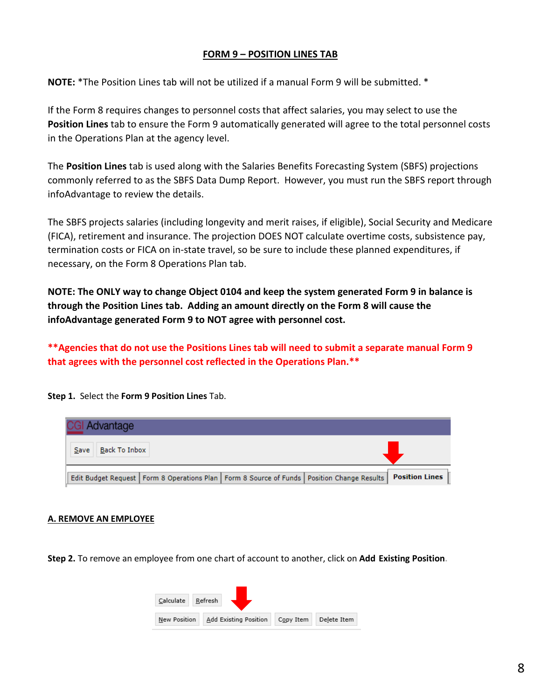#### **FORM 9 – POSITION LINES TAB**

**NOTE:** \*The Position Lines tab will not be utilized if a manual Form 9 will be submitted. \*

If the Form 8 requires changes to personnel costs that affect salaries, you may select to use the **Position Lines** tab to ensure the Form 9 automatically generated will agree to the total personnel costs in the Operations Plan at the agency level.

The **Position Lines** tab is used along with the Salaries Benefits Forecasting System (SBFS) projections commonly referred to as the SBFS Data Dump Report. However, you must run the SBFS report through infoAdvantage to review the details.

The SBFS projects salaries (including longevity and merit raises, if eligible), Social Security and Medicare (FICA), retirement and insurance. The projection DOES NOT calculate overtime costs, subsistence pay, termination costs or FICA on in-state travel, so be sure to include these planned expenditures, if necessary, on the Form 8 Operations Plan tab.

**NOTE: The ONLY way to change Object 0104 and keep the system generated Form 9 in balance is through the Position Lines tab. Adding an amount directly on the Form 8 will cause the infoAdvantage generated Form 9 to NOT agree with personnel cost.** 

**\*\*Agencies that do not use the Positions Lines tab will need to submit a separate manual Form 9 that agrees with the personnel cost reflected in the Operations Plan.\*\***

| <b>Advantage</b>                                                                                |                       |
|-------------------------------------------------------------------------------------------------|-----------------------|
| <b>Back To Inbox</b><br>Save                                                                    |                       |
| Edit Budget Request   Form 8 Operations Plan   Form 8 Source of Funds   Position Change Results | <b>Position Lines</b> |

**Step 1.** Select the **Form 9 Position Lines** Tab.

#### **A. REMOVE AN EMPLOYEE**

**Step 2.** To remove an employee from one chart of account to another, click on **Add Existing Position.**

![](_page_8_Picture_11.jpeg)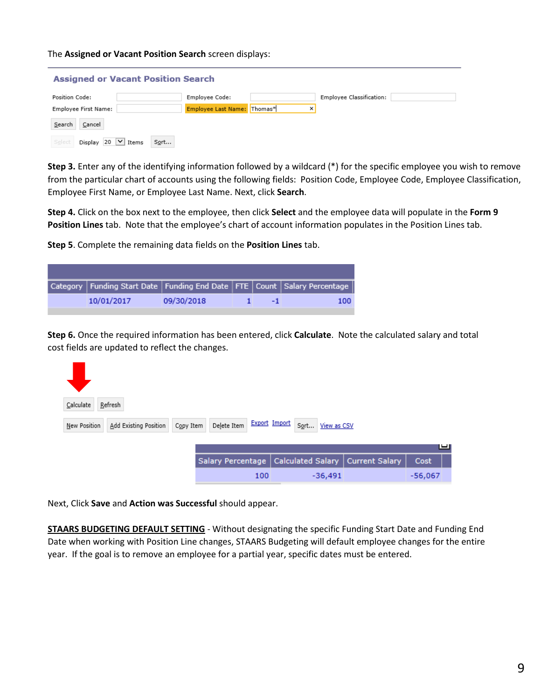The **Assigned or Vacant Position Search** screen displays:

| <b>Assigned or Vacant Position Search</b>                |                             |   |                          |  |  |  |  |  |
|----------------------------------------------------------|-----------------------------|---|--------------------------|--|--|--|--|--|
| Position Code:                                           | Employee Code:              |   | Employee Classification: |  |  |  |  |  |
| Employee First Name:                                     | Employee Last Name: Thomas* | × |                          |  |  |  |  |  |
| Search<br>Cancel                                         |                             |   |                          |  |  |  |  |  |
| Sort<br>20<br>Display<br>Select<br>$\checkmark$<br>Items |                             |   |                          |  |  |  |  |  |

**Step 3.** Enter any of the identifying information followed by a wildcard (\*) for the specific employee you wish to remove from the particular chart of accounts using the following fields: Position Code, Employee Code, Employee Classification, Employee First Name, or Employee Last Name. Next, click **Search**.

**Step 4.** Click on the box next to the employee, then click **Select** and the employee data will populate in the **Form 9 Position Lines** tab. Note that the employee's chart of account information populates in the Position Lines tab.

**Step 5**. Complete the remaining data fields on the **Position Lines** tab.

| Category   Funding Start Date   Funding End Date   FTE   Count   Salary Percentage |            |  |      |
|------------------------------------------------------------------------------------|------------|--|------|
| 10/01/2017                                                                         | 09/30/2018 |  | 100. |

**Step 6.** Once the required information has been entered, click **Calculate**. Note the calculated salary and total cost fields are updated to reflect the changes.

| Refresh<br>Calculate                  |                          |               |                  |                                    |           |  |
|---------------------------------------|--------------------------|---------------|------------------|------------------------------------|-----------|--|
| Add Existing Position<br>New Position | Delete Item<br>Copy Item | Export Import | Sort View as CSV |                                    |           |  |
|                                       |                          |               |                  |                                    | ய         |  |
|                                       | Salary Percentage        |               |                  | Calculated Salary   Current Salary | Cost      |  |
|                                       |                          | 100           | $-36,491$        |                                    | $-56,067$ |  |

Next, Click **Save** and **Action was Successful** should appear.

**STAARS BUDGETING DEFAULT SETTING** - Without designating the specific Funding Start Date and Funding End Date when working with Position Line changes, STAARS Budgeting will default employee changes for the entire year. If the goal is to remove an employee for a partial year, specific dates must be entered.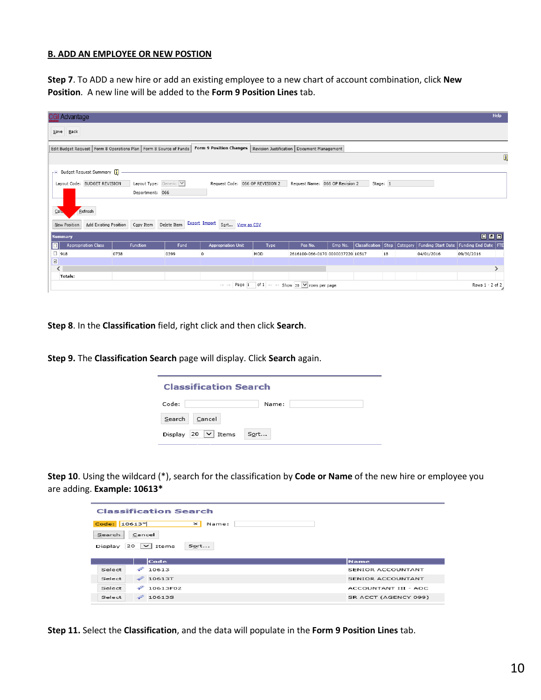#### **B. ADD AN EMPLOYEE OR NEW POSTION**

**Step 7**. To ADD a new hire or add an existing employee to a new chart of account combination, click **New Position**. A new line will be added to the **Form 9 Position Lines** tab.

|                                                                                                                                                   | <b>CGI Advantage</b>                  |      |                        |      |                                               |      |                                                          |         |                                  |    | Help                                        |                 |               |
|---------------------------------------------------------------------------------------------------------------------------------------------------|---------------------------------------|------|------------------------|------|-----------------------------------------------|------|----------------------------------------------------------|---------|----------------------------------|----|---------------------------------------------|-----------------|---------------|
|                                                                                                                                                   | $Save$ Back                           |      |                        |      |                                               |      |                                                          |         |                                  |    |                                             |                 |               |
| Form 9 Position Changes   Revision Justification   Document Management  <br>Edit Budget Request   Form 8 Operations Plan   Form 8 Source of Funds |                                       |      |                        |      |                                               |      |                                                          |         |                                  |    |                                             |                 |               |
|                                                                                                                                                   |                                       |      |                        |      |                                               |      |                                                          |         |                                  |    |                                             |                 | Q             |
|                                                                                                                                                   | F Budget Request Summary              |      |                        |      |                                               |      |                                                          |         |                                  |    |                                             |                 |               |
|                                                                                                                                                   | Layout Code: BUDGET REVISION          |      | Layout Type: Generic V |      | Request Code: 066 OP REVISION 2               |      | Request Name: 066 OP Revision 2                          |         | Stage: 1                         |    |                                             |                 |               |
|                                                                                                                                                   |                                       |      | Department: 066        |      |                                               |      |                                                          |         |                                  |    |                                             |                 |               |
|                                                                                                                                                   |                                       |      |                        |      |                                               |      |                                                          |         |                                  |    |                                             |                 |               |
| $C$ alu                                                                                                                                           | Refresh                               |      |                        |      |                                               |      |                                                          |         |                                  |    |                                             |                 |               |
|                                                                                                                                                   | Add Existing Position<br>New Position |      | Copy Item Delete Item  |      | Export Import Sort View as CSV                |      |                                                          |         |                                  |    |                                             |                 |               |
| <b>Summary</b>                                                                                                                                    |                                       |      |                        |      |                                               |      |                                                          |         |                                  |    |                                             | 回回回             |               |
|                                                                                                                                                   | <b>Appropriation Class</b>            |      | <b>Function</b>        | Fund | <b>Appropriation Unit</b>                     | Type | Pos No.                                                  | Emp No. | Classification   Step   Category |    | Funding Start Date   Funding End Date   FTE |                 |               |
| $\Box$ 918                                                                                                                                        |                                       | 0738 |                        | 0399 | $\circ$                                       | MOD  | 2616100-066-0170 0000037220 10517                        |         |                                  | 18 | 04/01/2016                                  | 09/30/2016      |               |
| $\overline{\mathbf{v}}$                                                                                                                           |                                       |      |                        |      |                                               |      |                                                          |         |                                  |    |                                             |                 |               |
| $\overline{\phantom{a}}$                                                                                                                          | <b>Totals:</b>                        |      |                        |      |                                               |      |                                                          |         |                                  |    |                                             |                 | $\rightarrow$ |
|                                                                                                                                                   |                                       |      |                        |      | $\  \cdot \  \cdot \  \cdot \leq \epsilon \ $ |      | Page 1 of 1 $\rightarrow$ 1 Show 20 $\vee$ rows per page |         |                                  |    |                                             | Rows 1 - 2 of 2 |               |
|                                                                                                                                                   |                                       |      |                        |      |                                               |      |                                                          |         |                                  |    |                                             |                 |               |

**Step 8**. In the **Classification** field, right click and then click **Search**.

**Step 9.** The **Classification Search** page will display. Click **Search** again.

| <b>Classification Search</b>        |       |  |  |  |  |
|-------------------------------------|-------|--|--|--|--|
| Code:                               | Name: |  |  |  |  |
| Search<br>Cancel                    |       |  |  |  |  |
| Display 20 $\vert \vee \vert$ Items | Sort  |  |  |  |  |

**Step 10**. Using the wildcard (\*), search for the classification by **Code or Name** of the new hire or employee you are adding. **Example: 10613\***

| <b>Classification Search</b>                   |                      |  |  |  |  |  |  |
|------------------------------------------------|----------------------|--|--|--|--|--|--|
| Code: 10613*<br>$\boldsymbol{\times}$<br>Name: |                      |  |  |  |  |  |  |
| Cancel<br>Search                               |                      |  |  |  |  |  |  |
| $20 \mid \vee \mid$ Items<br>Sort<br>Display   |                      |  |  |  |  |  |  |
|                                                |                      |  |  |  |  |  |  |
|                                                |                      |  |  |  |  |  |  |
| Code                                           | <b>Name</b>          |  |  |  |  |  |  |
| $\mathscr{P}$<br>10613<br>Select               | SENIOR ACCOUNTANT    |  |  |  |  |  |  |
| $\mathscr{D}$ 10613T<br>Select                 | SENIOR ACCOUNTANT    |  |  |  |  |  |  |
| ຈ<br>10613F02<br>Select                        | ACCOUNTANT III - AOC |  |  |  |  |  |  |

**Step 11.** Select the **Classification**, and the data will populate in the **Form 9 Position Lines** tab.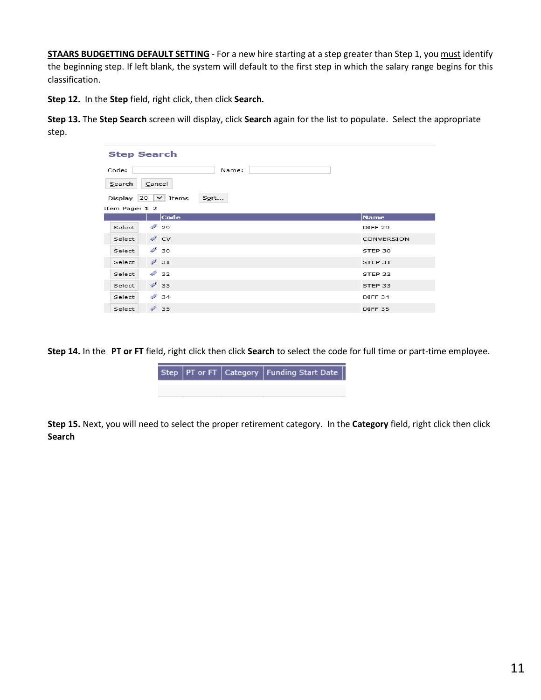**STAARS BUDGETTING DEFAULT SETTING** - For a new hire starting at a step greater than Step 1, you must identify the beginning step. If left blank, the system will default to the first step in which the salary range begins for this classification.

**Step 12.** In the **Step** field, right click, then click **Search.**

**Step 13.** The **Step Search** screen will display, click **Search** again for the list to populate. Select the appropriate step.

| <b>Step Search</b>                        |                    |  |  |  |  |  |  |  |
|-------------------------------------------|--------------------|--|--|--|--|--|--|--|
| Code:<br>Name:                            |                    |  |  |  |  |  |  |  |
| Search<br>Cancel                          |                    |  |  |  |  |  |  |  |
| $20 \mid v \mid$ Items<br>Sort<br>Display |                    |  |  |  |  |  |  |  |
| Item Page: 1 2                            |                    |  |  |  |  |  |  |  |
| Code                                      | <b>Name</b>        |  |  |  |  |  |  |  |
| $\mathscr{D}$ 29<br>Select                | DIFF <sub>29</sub> |  |  |  |  |  |  |  |
| $\mathscr{D}$ CV<br>Select                | CONVERSION         |  |  |  |  |  |  |  |
| $\mathcal P$ 30<br>Select                 | STEP 30            |  |  |  |  |  |  |  |
| $\mathcal{Q}$ 31<br>Select                | STEP 31            |  |  |  |  |  |  |  |
| $\mathcal{P}$ 32<br>Select                | STEP 32            |  |  |  |  |  |  |  |
| $\mathscr{D}$ 33<br>Select                | STEP 33            |  |  |  |  |  |  |  |
| $\mathscr{D}$ 34<br>Select                | DIFF <sub>34</sub> |  |  |  |  |  |  |  |
| $\mathscr{D}$ 35<br>Select                | DIFF <sub>35</sub> |  |  |  |  |  |  |  |

**Step 14.** In the **PT or FT** field, right click then click **Search** to select the code for full time or part-time employee.

![](_page_11_Picture_5.jpeg)

**Step 15.** Next, you will need to select the proper retirement category. In the **Category** field, right click then click **Search**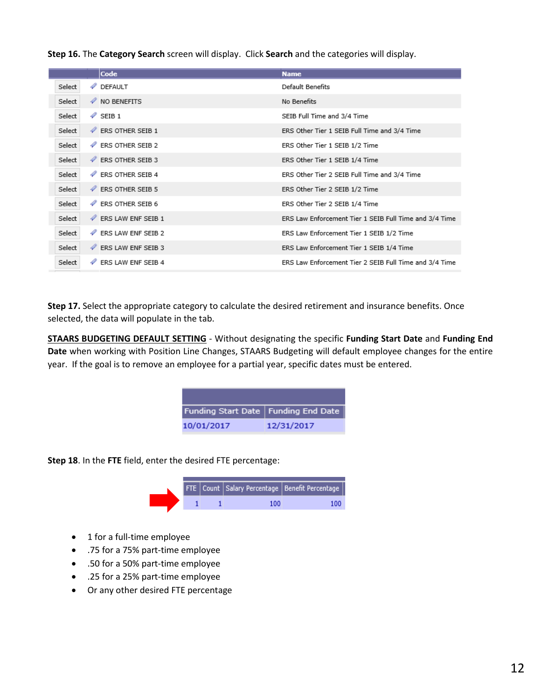**Step 16.** The **Category Search** screen will display. Click **Search** and the categories will display.

|        | Code                             | <b>Name</b>                                            |
|--------|----------------------------------|--------------------------------------------------------|
| Select | <b><i>P</i></b> DEFAULT          | Default Benefits                                       |
| Select | $\mathscr V$ NO BENEFITS         | No Benefits                                            |
| Select | $\mathscr{P}$ SEIB 1             | SEIB Full Time and 3/4 Time                            |
| Select | <b><i>V</i></b> ERS OTHER SEIB 1 | ERS Other Tier 1 SEIB Full Time and 3/4 Time           |
| Select | <b>ERS OTHER SEIB 2</b>          | ERS Other Tier 1 SEIB 1/2 Time                         |
| Select | <b>ERS OTHER SEIB 3</b>          | ERS Other Tier 1 SEIB 1/4 Time                         |
| Select | <b><i>V</i></b> ERS OTHER SEIB 4 | ERS Other Tier 2 SEIB Full Time and 3/4 Time           |
| Select | <b>ERS OTHER SEIB 5</b>          | ERS Other Tier 2 SEIB 1/2 Time                         |
| Select | <b>ERS OTHER SEIB 6</b>          | ERS Other Tier 2 SEIB 1/4 Time                         |
| Select | <b>ERS LAW ENF SEIB 1</b>        | ERS Law Enforcement Tier 1 SEIB Full Time and 3/4 Time |
| Select | <b>ERS LAW ENF SEIB 2</b>        | ERS Law Enforcement Tier 1 SEIB 1/2 Time               |
| Select | <b>ERS LAW ENF SEIB 3</b>        | ERS Law Enforcement Tier 1 SEIB 1/4 Time               |
| Select | 4<br><b>ERS LAW ENF SEIB 4</b>   | ERS Law Enforcement Tier 2 SEIB Full Time and 3/4 Time |

**Step 17.** Select the appropriate category to calculate the desired retirement and insurance benefits. Once selected, the data will populate in the tab.

**STAARS BUDGETING DEFAULT SETTING** - Without designating the specific **Funding Start Date** and **Funding End Date** when working with Position Line Changes, STAARS Budgeting will default employee changes for the entire year. If the goal is to remove an employee for a partial year, specific dates must be entered.

| Funding Start Date   Funding End Date |            |
|---------------------------------------|------------|
| 10/01/2017                            | 12/31/2017 |

**Step 18**. In the **FTE** field, enter the desired FTE percentage:

|  |  | FTE Count Salary Percentage   Benefit Percentage |
|--|--|--------------------------------------------------|
|  |  |                                                  |

- 1 for a full-time employee
- .75 for a 75% part-time employee
- .50 for a 50% part-time employee
- .25 for a 25% part-time employee
- Or any other desired FTE percentage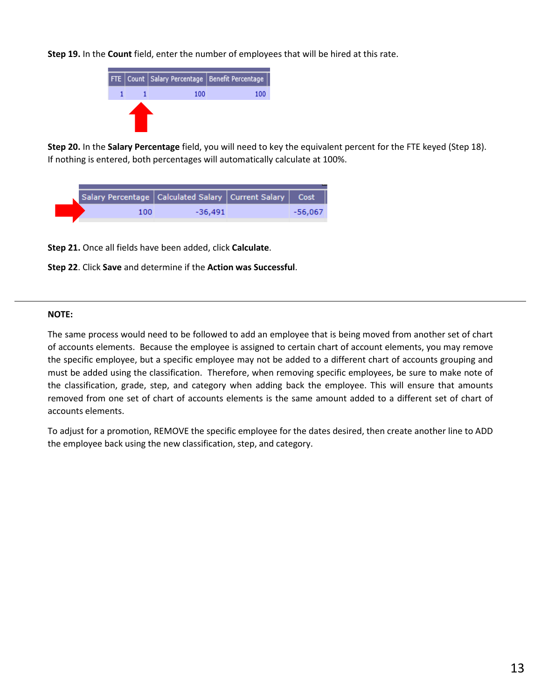**Step 19.** In the **Count** field, enter the number of employees that will be hired at this rate.

![](_page_13_Figure_1.jpeg)

**Step 20.** In the **Salary Percentage** field, you will need to key the equivalent percent for the FTE keyed (Step 18). If nothing is entered, both percentages will automatically calculate at 100%.

![](_page_13_Figure_3.jpeg)

**Step 21.** Once all fields have been added, click **Calculate**.

![](_page_13_Figure_5.jpeg)

#### **NOTE:**

The same process would need to be followed to add an employee that is being moved from another set of chart of accounts elements. Because the employee is assigned to certain chart of account elements, you may remove the specific employee, but a specific employee may not be added to a different chart of accounts grouping and must be added using the classification. Therefore, when removing specific employees, be sure to make note of the classification, grade, step, and category when adding back the employee. This will ensure that amounts removed from one set of chart of accounts elements is the same amount added to a different set of chart of accounts elements.

To adjust for a promotion, REMOVE the specific employee for the dates desired, then create another line to ADD the employee back using the new classification, step, and category.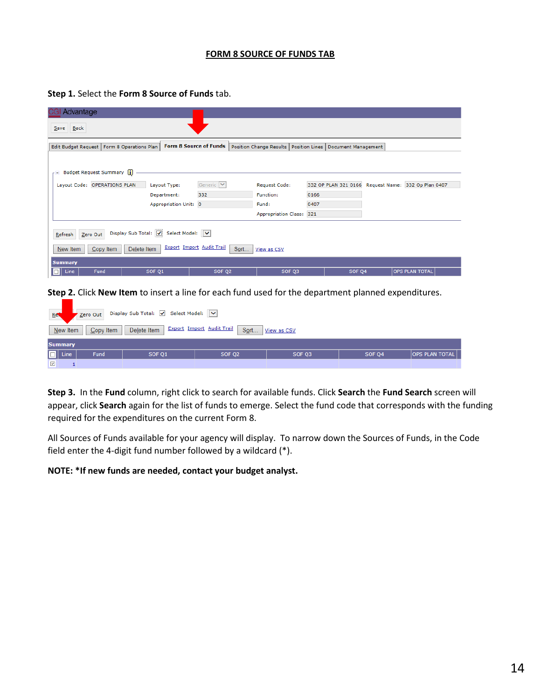#### **FORM 8 SOURCE OF FUNDS TAB**

| Advantage                                                                                                                                                      |                       |                      |                             |                   |                                                     |  |  |  |
|----------------------------------------------------------------------------------------------------------------------------------------------------------------|-----------------------|----------------------|-----------------------------|-------------------|-----------------------------------------------------|--|--|--|
| Back<br>Save                                                                                                                                                   |                       |                      |                             |                   |                                                     |  |  |  |
| <b>Form 8 Source of Funds</b><br>Position Change Results   Position Lines  <br>Edit Budget Request   Form 8 Operations Plan<br>Document Management             |                       |                      |                             |                   |                                                     |  |  |  |
| F Budget Request Summary                                                                                                                                       |                       |                      |                             |                   |                                                     |  |  |  |
| Layout Code: OPERATIONS PLAN                                                                                                                                   | Layout Type:          | Generic <sup>V</sup> | <b>Request Code:</b>        |                   | 332 OP PLAN 321 0166 Request Name: 332 Op Plan 0407 |  |  |  |
|                                                                                                                                                                | Department:           | 332                  | <b>Function:</b>            | 0166              |                                                     |  |  |  |
|                                                                                                                                                                | Appropriation Unit: 0 |                      | Fund:                       | 0407              |                                                     |  |  |  |
|                                                                                                                                                                |                       |                      | <b>Appropriation Class:</b> | 321               |                                                     |  |  |  |
| Display Sub Total: V Select Model: V<br>Zero Out<br>Refresh<br><b>Export Import Audit Trail</b><br>Copy Item<br>Delete Item<br>Sort<br>New Item<br>View as CSV |                       |                      |                             |                   |                                                     |  |  |  |
| <b>Summary</b>                                                                                                                                                 |                       |                      |                             |                   |                                                     |  |  |  |
| Line<br>Fund<br>$\Box$                                                                                                                                         | SOF Q1                | SOF Q2               | SOF Q3                      | SOF <sub>Q4</sub> | OPS PLAN TOTAL                                      |  |  |  |

**Step 1.** Select the **Form 8 Source of Funds** tab.

**Step 2.** Click **New Item** to insert a line for each fund used for the department planned expenditures.

| Ref                     | Display Sub Total: V Select Model: V<br>Zero Out                                                |  |  |  |  |  |  |  |  |  |
|-------------------------|-------------------------------------------------------------------------------------------------|--|--|--|--|--|--|--|--|--|
|                         | <b>Export Import Audit Trail</b><br>Sort<br>Delete Item<br>New Item<br>Copy Item<br>View as CSV |  |  |  |  |  |  |  |  |  |
| <b>Summary</b>          |                                                                                                 |  |  |  |  |  |  |  |  |  |
| $\Box$ Line             | Fund<br>OPS PLAN TOTAL<br>SOF Q4<br>SOF Q1<br>SOF Q2<br>SOF Q3                                  |  |  |  |  |  |  |  |  |  |
| $\overline{\mathbf{v}}$ |                                                                                                 |  |  |  |  |  |  |  |  |  |

**Step 3.** In the **Fund** column, right click to search for available funds. Click **Search** the **Fund Search** screen will appear, click **Search** again for the list of funds to emerge. Select the fund code that corresponds with the funding required for the expenditures on the current Form 8.

All Sources of Funds available for your agency will display. To narrow down the Sources of Funds, in the Code field enter the 4-digit fund number followed by a wildcard (\*).

**NOTE: \*If new funds are needed, contact your budget analyst.**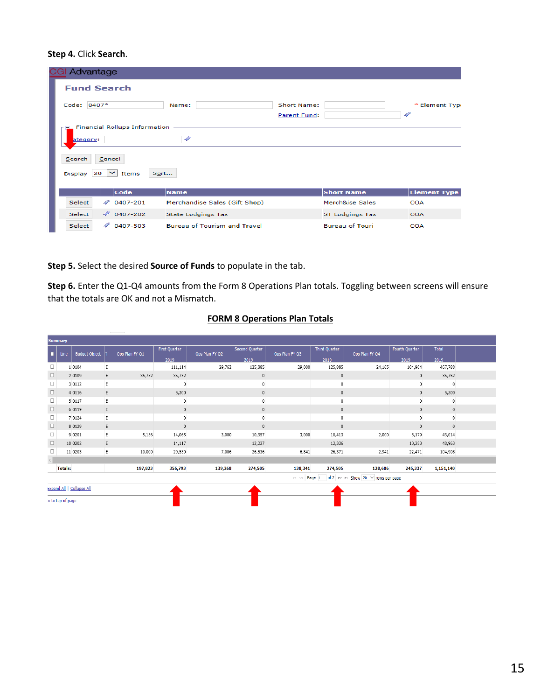#### **Step 4.** Click **Search**.

| Advantage   |                                      |                                     |                                    |                        |                                 |
|-------------|--------------------------------------|-------------------------------------|------------------------------------|------------------------|---------------------------------|
|             | <b>Fund Search</b>                   |                                     |                                    |                        |                                 |
| Code: 0407* |                                      | Name:                               | <b>Short Name:</b><br>Parent Fund: |                        | * Element Type<br>$\mathscr{P}$ |
| ategory:    | <b>Financial Rollups Information</b> | 4                                   |                                    |                        |                                 |
| Search      | Cancel                               |                                     |                                    |                        |                                 |
|             | Display 20 $\vert \vee \vert$ Items  | Sort                                |                                    |                        |                                 |
|             | Code                                 | <b>Name</b>                         |                                    | <b>Short Name</b>      | <b>Element Type</b>             |
| Select      | D<br>0407-201                        | Merchandise Sales (Gift Shop)       |                                    | Merch&ise Sales        | <b>COA</b>                      |
| Select      | $\varphi$ 0407-202                   | <b>State Lodgings Tax</b>           |                                    | <b>ST Lodgings Tax</b> | COA                             |
| Select      | 4<br>0407-503                        | <b>Bureau of Tourism and Travel</b> |                                    | <b>Bureau of Touri</b> | <b>COA</b>                      |

**Step 5.** Select the desired **Source of Funds** to populate in the tab.

**Step 6.** Enter the Q1-Q4 amounts from the Form 8 Operations Plan totals. Toggling between screens will ensure that the totals are OK and not a Mismatch.

|        | <b>Summary</b>   |                           |   |                |               |                |                       |                |                      |                                                |                |              |  |
|--------|------------------|---------------------------|---|----------------|---------------|----------------|-----------------------|----------------|----------------------|------------------------------------------------|----------------|--------------|--|
| п.     | Line             | <b>Budget Object</b>      |   | Ops Plan FY Q1 | First Quarter | Ops Plan FY Q2 | <b>Second Quarter</b> | Ops Plan FY Q3 | <b>Third Quarter</b> | Ops Plan FY Q4                                 | Fourth Quarter | <b>Total</b> |  |
|        |                  |                           |   |                | 2019          |                | 2019                  |                | 2019                 |                                                | 2019           | 2019         |  |
| $\Box$ |                  | 1 0 1 0 4                 | E |                | 111,114       | 29,762         | 125,885               | 29,000         | 125,885              | 24,165                                         | 104,904        | 467,788      |  |
| $\Box$ |                  | 2 0 1 0 9                 | E | 35,752         | 35,752        |                | $\mathbf 0$           |                | $\mathbf{0}$         |                                                | $\mathbf{0}$   | 35,752       |  |
| $\Box$ |                  | 3 0 1 1 2                 | E |                | $\mathbf{0}$  |                | $\mathbf 0$           |                |                      |                                                | $\mathbf{0}$   | $\pmb{0}$    |  |
| $\Box$ |                  | 4 0 1 1 6                 | Ε |                | 5,300         |                | 0                     |                |                      |                                                | $\mathbf 0$    | 5,300        |  |
| □      |                  | 5 0 1 1 7                 | E |                |               |                | 0                     |                |                      |                                                | $\mathbf{0}$   | $\mathbf 0$  |  |
| $\Box$ |                  | 6 0 1 1 9                 | E |                | $\mathbf{0}$  |                | 0                     |                |                      |                                                | $\mathbf{0}$   | $\mathbf{0}$ |  |
| $\Box$ |                  | 7 0124                    | E |                |               |                | $\mathbf 0$           |                |                      |                                                | $\mathbf{0}$   | $\mathbf 0$  |  |
| $\Box$ |                  | 8 0 1 2 9                 | Ε |                | $\mathbf{0}$  |                | $\mathbf{0}$          |                | $\Omega$             |                                                | $\mathbf{0}$   | $\mathbf 0$  |  |
| $\Box$ |                  | 9 0 2 0 1                 | E | 5,156          | 14,065        | 3,000          | 10,357                | 3,000          | 10,413               | 2,000                                          | 8,179          | 43,014       |  |
| $\Box$ |                  | 10 0202                   | E |                | 14,117        |                | 12,227                |                | 12,336               |                                                | 10,283         | 48,963       |  |
| $\Box$ |                  | 11 0203                   | E | 10,000         | 29,530        | 7,006          | 26,536                | 6,841          | 26,371               | 2,941                                          | 22,471         | 104,908      |  |
|        |                  |                           |   |                |               |                |                       |                |                      |                                                |                |              |  |
|        | <b>Totals:</b>   |                           |   | 197,823        | 356,793       | 139,268        | 274,505               | 138,341        | 274,505              | 128,606                                        | 245,337        | 1,151,140    |  |
|        |                  |                           |   |                |               |                |                       |                |                      | Here Page 1 of 2 >> ++ Show 20 ∨ rows per page |                |              |  |
|        |                  | Expand All   Collapse All |   |                |               |                |                       |                |                      |                                                |                |              |  |
|        | o to top of page |                           |   |                |               |                |                       |                |                      |                                                |                |              |  |

#### **FORM 8 Operations Plan Totals**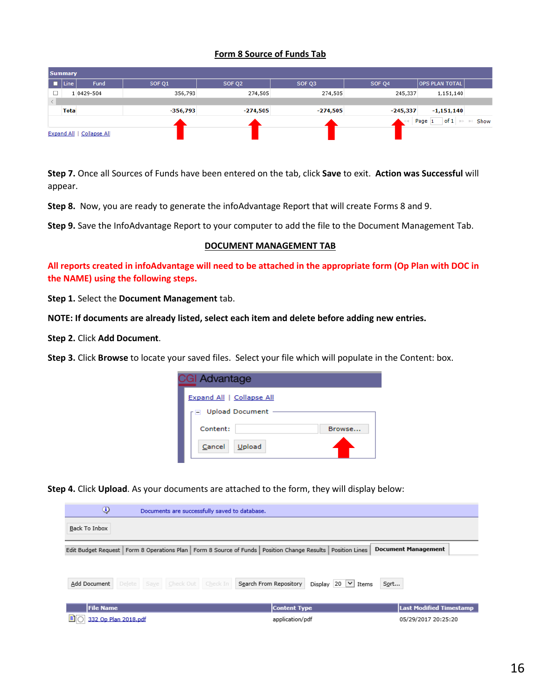#### **Form 8 Source of Funds Tab**

|   | <b>Summary</b> |                           |            |                    |            |            |                       |                                       |
|---|----------------|---------------------------|------------|--------------------|------------|------------|-----------------------|---------------------------------------|
| п | Line           | Fund                      | SOF Q1     | SOF Q <sub>2</sub> | SOF Q3     | SOF Q4     | <b>OPS PLAN TOTAL</b> |                                       |
|   |                | 1 0429-504                | 356,793    | 274,505            | 274,505    | 245,337    | 1,151,140             |                                       |
|   |                |                           |            |                    |            |            |                       |                                       |
|   | <b>Tota</b>    |                           | $-356,793$ | $-274,505$         | $-274,505$ | $-245,337$ | $-1,151,140$          |                                       |
|   |                |                           |            |                    |            |            | Page 1                | of $1 \Rightarrow$ $\Rightarrow$ Show |
|   |                | Expand All   Collapse All |            |                    |            |            |                       |                                       |

**Step 7.** Once all Sources of Funds have been entered on the tab, click **Save** to exit. **Action was Successful** will appear.

**Step 8.** Now, you are ready to generate the infoAdvantage Report that will create Forms 8 and 9.

**Step 9.** Save the InfoAdvantage Report to your computer to add the file to the Document Management Tab.

#### **DOCUMENT MANAGEMENT TAB**

**All reports created in infoAdvantage will need to be attached in the appropriate form (Op Plan with DOC in the NAME) using the following steps.**

**Step 1.** Select the **Document Management** tab.

**NOTE: If documents are already listed, select each item and delete before adding new entries.**

**Step 2.** Click **Add Document**.

**Step 3.** Click **Browse** to locate your saved files. Select your file which will populate in the Content: box.

| <b>CGI Advantage</b>      |        |
|---------------------------|--------|
| Expand All   Collapse All |        |
| □ Upload Document         |        |
| Content:                  | Browse |
| Upload<br>Cancel          |        |

**Step 4.** Click **Upload**. As your documents are attached to the form, they will display below:

| ⊕                                                                                                                | Documents are successfully saved to database. |                        |                                     |                                |
|------------------------------------------------------------------------------------------------------------------|-----------------------------------------------|------------------------|-------------------------------------|--------------------------------|
| Back To Inbox                                                                                                    |                                               |                        |                                     |                                |
| Edit Budget Request   Form 8 Operations Plan   Form 8 Source of Funds   Position Change Results   Position Lines |                                               |                        |                                     | <b>Document Management</b>     |
|                                                                                                                  |                                               |                        |                                     |                                |
| Add Document                                                                                                     | Delete Save Check Out Check In                | Search From Repository | Display 20 $\vert \vee \vert$ Items | Sort                           |
| <b>File Name</b>                                                                                                 |                                               | <b>Content Type</b>    |                                     | <b>Last Modified Timestamp</b> |
| E.<br>332 Op Plan 2018.pdf                                                                                       |                                               | application/pdf        |                                     | 05/29/2017 20:25:20            |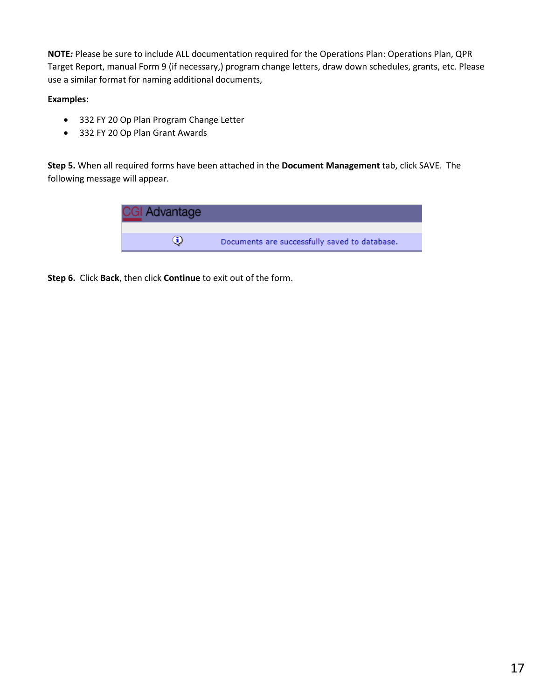**NOTE***:* Please be sure to include ALL documentation required for the Operations Plan: Operations Plan, QPR Target Report, manual Form 9 (if necessary,) program change letters, draw down schedules, grants, etc. Please use a similar format for naming additional documents,

#### **Examples:**

- 332 FY 20 Op Plan Program Change Letter
- 332 FY 20 Op Plan Grant Awards

**Step 5.** When all required forms have been attached in the **Document Management** tab, click SAVE. The following message will appear.

![](_page_17_Picture_5.jpeg)

**Step 6.** Click **Back**, then click **Continue** to exit out of the form.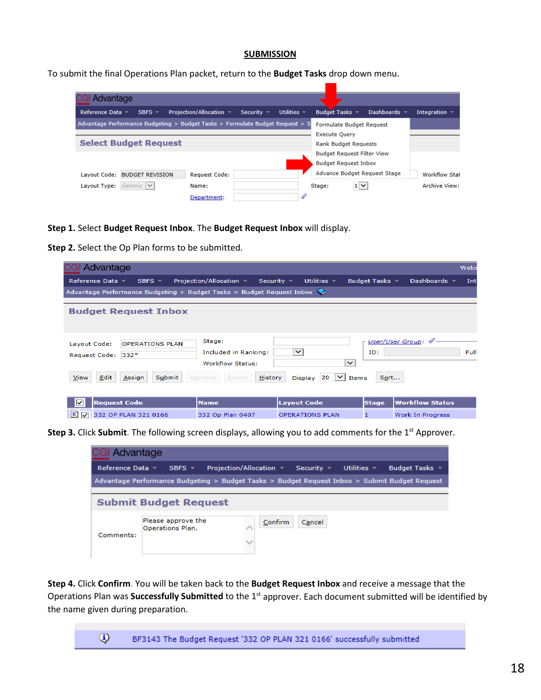#### **SUBMISSION**

To submit the final Operations Plan packet, return to the **Budget Tasks** drop down menu.

| Advantage                                                                     |                         |                                         |                              |              |                    |
|-------------------------------------------------------------------------------|-------------------------|-----------------------------------------|------------------------------|--------------|--------------------|
| Reference Data ▼<br>SBFS $\neq$                                               | Proiection/Allocation ▼ | Utilities $\sim$<br>Security $\sqrt{ }$ | Budget Tasks $\tau$          | Dashboards = | Integration $\sim$ |
| Advantage Performance Budgeting > Budget Tasks > Formulate Budget Request > S |                         |                                         | Formulate Budget Request     |              |                    |
|                                                                               |                         |                                         | Execute Ouery                |              |                    |
| <b>Select Budget Request</b>                                                  |                         |                                         | Rank Budget Requests         |              |                    |
|                                                                               |                         |                                         | Budget Request Filter View   |              |                    |
|                                                                               |                         |                                         | Budget Request Inbox         |              |                    |
| Layout Code: BUDGET REVISION                                                  | Request Code:           |                                         | Advance Budget Request Stage |              | Workflow Stat      |
| Generic V<br>Layout Type:                                                     | Name:                   |                                         | $1 \vee$<br>Stage:           |              | Archive View:      |
|                                                                               | Department:             |                                         |                              |              |                    |

**Step 1.** Select **Budget Request Inbox**. The **Budget Request Inbox** will display.

**Step 2.** Select the Op Plan forms to be submitted.

| <b>CGI Advantage</b>                                                      |                                                           |                                      |                     | Welco                      |
|---------------------------------------------------------------------------|-----------------------------------------------------------|--------------------------------------|---------------------|----------------------------|
| Reference Data =<br>SBFS $\tau$                                           | Projection/Allocation $\sim$                              | Security $\equiv$<br>Utilities $\pm$ | Budget Tasks $\sim$ | Dashboards $\sim$<br>Int   |
| Advantage Performance Budgeting $>$ Budget Tasks $>$ Budget Request Inbox |                                                           |                                      |                     |                            |
| <b>Budget Request Inbox</b>                                               |                                                           |                                      |                     |                            |
| <b>OPERATIONS PLAN</b><br>Layout Code:<br>Request Code: 332*              | Stage:<br>Included in Ranking:<br><b>Workflow Status:</b> | $\checkmark$<br>$\checkmark$         | ID:                 | User/User Group: 4<br>Full |
| Edit<br>View<br>Submit<br>Assign                                          | <b>History</b><br>Reject<br>Approve                       | $ 20 $ $\vee$ Items<br>Display       | Sort                |                            |
| <b>Request Code</b><br>◡                                                  | <b>Name</b>                                               | <b>Layout Code</b>                   | <b>Stage</b>        | <b>Workflow Status</b>     |
| Ð<br>332 OP PLAN 321 0166<br>$\blacktriangledown$                         | 332 Op Plan 0407                                          | <b>OPERATIONS PLAN</b>               | п                   | Work In Progress           |

**Step 3.** Click Submit. The following screen displays, allowing you to add comments for the 1<sup>st</sup> Approver.

| GI Advantage          |                                                                                               |                                                                                  |         |        |                                    |                     |  |  |  |
|-----------------------|-----------------------------------------------------------------------------------------------|----------------------------------------------------------------------------------|---------|--------|------------------------------------|---------------------|--|--|--|
| Reference Data $\sim$ | $SBFS =$                                                                                      | Projection/Allocation $\overline{\phantom{a}}$ Security $\overline{\phantom{a}}$ |         |        | Utilities $\overline{\phantom{a}}$ | Budget Tasks $\sim$ |  |  |  |
|                       | Advantage Performance Budgeting > Budget Tasks > Budget Request Inbox > Submit Budget Request |                                                                                  |         |        |                                    |                     |  |  |  |
|                       |                                                                                               |                                                                                  |         |        |                                    |                     |  |  |  |
|                       | <b>Submit Budget Request</b>                                                                  |                                                                                  |         |        |                                    |                     |  |  |  |
| Comments:             | Please approve the<br>Operations Plan.                                                        |                                                                                  | Confirm | Cancel |                                    |                     |  |  |  |

**Step 4.** Click **Confirm.** You will be taken back to the **Budget Request Inbox** and receive a message that the Operations Plan was **Successfully Submitted** to the 1<sup>st</sup> approver. Each document submitted will be identified by the name given during preparation.

> $\circledcirc$ BF3143 The Budget Request '332 OP PLAN 321 0166' successfully submitted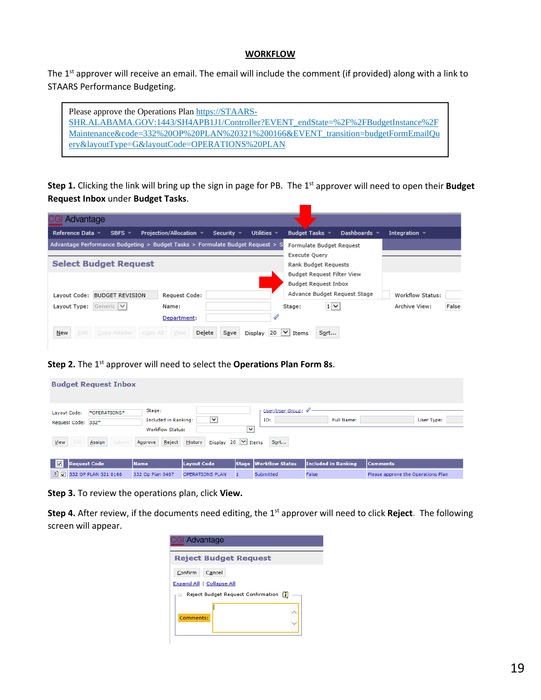#### **WORKFLOW**

The 1<sup>st</sup> approver will receive an email. The email will include the comment (if provided) along with a link to STAARS Performance Budgeting.

| Please approve the Operations Plan https://STAARS-                               |
|----------------------------------------------------------------------------------|
| SHR.ALABAMA.GOV:1443/SH4APB1J1/Controller?EVENT endState=%2F%2FBudgetInstance%2F |
| Maintenance&code=332%20OP%20PLAN%20321%200166&EVENT transition=budgetFormEmailQu |
| ery&layoutType=G&layoutCode=OPERATIONS%20PLAN                                    |

**Step 1.** Clicking the link will bring up the sign in page for PB. The 1st approver will need to open their **Budget Request Inbox** under **Budget Tasks**.

| Advantage                                                                                                  |                                |                    |       |
|------------------------------------------------------------------------------------------------------------|--------------------------------|--------------------|-------|
| Utilities $\sim$<br>Projection/Allocation $\sim$<br>Reference Data ▼<br>SBFS $\tau$<br>Security $\sqrt{ }$ | Budget Tasks =<br>Dashboards = | Integration $\sim$ |       |
| Advantage Performance Budgeting > Budget Tasks > Formulate Budget Request > S                              | Formulate Budget Request       |                    |       |
|                                                                                                            | Execute Query                  |                    |       |
| <b>Select Budget Request</b>                                                                               | Rank Budget Requests           |                    |       |
|                                                                                                            |                                |                    |       |
|                                                                                                            | Budget Request Filter View     |                    |       |
|                                                                                                            | Budget Request Inbox           |                    |       |
| Layout Code: BUDGET REVISION<br>Request Code:                                                              | Advance Budget Request Stage   | Workflow Status:   |       |
| Generic V<br>Layout Type:<br>Name:                                                                         | $1 \vee$<br>Stage:             | Archive View:      | False |
| Department:                                                                                                |                                |                    |       |
| Edit<br>Copy All<br>Delete<br>Copy Header<br>New<br>View<br>Save<br>Display<br>20                          | Sort<br>$\vee$<br>Items        |                    |       |

**Step 2.** The 1<sup>st</sup> approver will need to select the **Operations Plan Form 8s**.

|                                            | <b>Budget Request Inbox</b> |                                                                                |                                              |              |                                      |                                     |                                                       |
|--------------------------------------------|-----------------------------|--------------------------------------------------------------------------------|----------------------------------------------|--------------|--------------------------------------|-------------------------------------|-------------------------------------------------------|
| Layout Code:<br>Request Code: 332*<br>View | *OPERATIONS*<br>Assign      | Stage:<br>Included in Ranking:<br><b>Workflow Status:</b><br>Reject<br>Approve | ◡<br>Display 20 $\vee$ Items<br>History      | $\checkmark$ | User/User Group: 4<br>ID:<br>Sort    | <b>Full Name:</b>                   | User Type:                                            |
| ⊽<br><b>Request Code</b><br>日マ             | 332 OP PLAN 321 0166        | <b>Name</b><br>332 Op Plan 0407                                                | <b>Layout Code</b><br><b>OPERATIONS PLAN</b> |              | Stage   Workflow Status<br>Submitted | <b>Included in Ranking</b><br>False | <b>Comments</b><br>Please approve the Operations Plan |

**Step 3.** To review the operations plan, click **View.**

**Step 4.** After review, if the documents need editing, the 1st approver will need to click **Reject.** The following screen will appear.

| <b>CGI Advantage</b>                           |  |
|------------------------------------------------|--|
| <b>Reject Budget Request</b>                   |  |
| Confirm<br>Cancel<br>Expand All   Collapse All |  |
| Reject Budget Request Confirmation<br>H<br>٠   |  |
| Comments:                                      |  |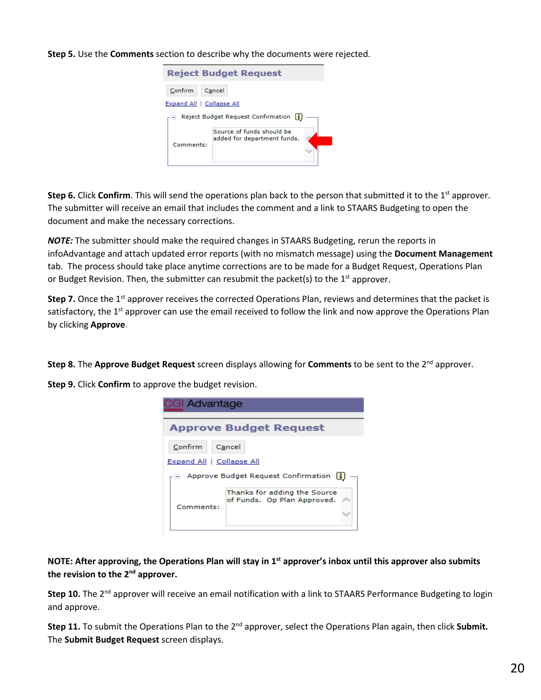#### **Step 5.** Use the **Comments** section to describe why the documents were rejected.

![](_page_20_Picture_1.jpeg)

**Step 6.** Click **Confirm**. This will send the operations plan back to the person that submitted it to the 1<sup>st</sup> approver. The submitter will receive an email that includes the comment and a link to STAARS Budgeting to open the document and make the necessary corrections.

*NOTE:* The submitter should make the required changes in STAARS Budgeting, rerun the reports in infoAdvantage and attach updated error reports (with no mismatch message) using the **Document Management** tab. The process should take place anytime corrections are to be made for a Budget Request, Operations Plan or Budget Revision. Then, the submitter can resubmit the packet(s) to the  $1<sup>st</sup>$  approver.

**Step 7.** Once the 1<sup>st</sup> approver receives the corrected Operations Plan, reviews and determines that the packet is satisfactory, the  $1<sup>st</sup>$  approver can use the email received to follow the link and now approve the Operations Plan by clicking **Approve.**

**Step 8.** The Approve Budget Request screen displays allowing for Comments to be sent to the 2<sup>nd</sup> approver.

**Step 9.** Click **Confirm** to approve the budget revision.

| <b>CGI Advantage</b>      |                                                             |  |
|---------------------------|-------------------------------------------------------------|--|
|                           | <b>Approve Budget Request</b>                               |  |
| Confirm                   | Cancel                                                      |  |
| Expand All   Collapse All |                                                             |  |
|                           | Approve Budget Request Confirmation                         |  |
| Comments:                 | Thanks for adding the Source<br>of Funds. Op Plan Approved. |  |

**NOTE: After approving, the Operations Plan will stay in 1st approver's inbox until this approver also submits the revision to the 2nd approver.** 

**Step 10.** The 2<sup>nd</sup> approver will receive an email notification with a link to STAARS Performance Budgeting to login and approve.

**Step 11.** To submit the Operations Plan to the 2nd approver, select the Operations Plan again, then click **Submit.**  The **Submit Budget Request** screen displays.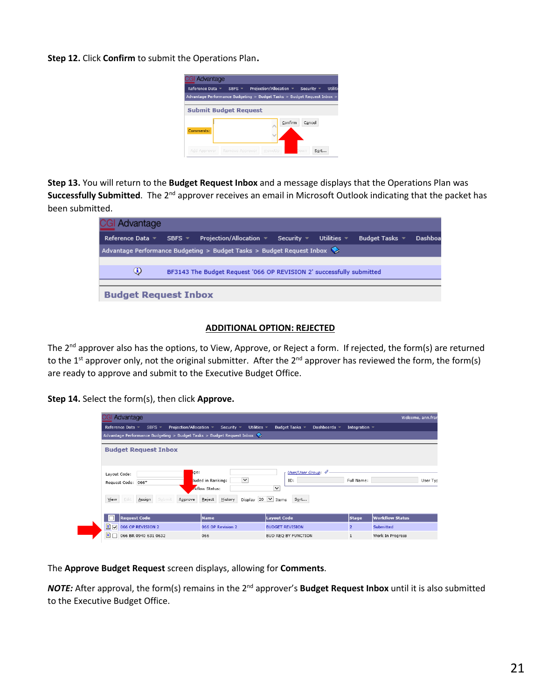**Step 12.** Click **Confirm** to submit the Operations Plan.

![](_page_21_Picture_1.jpeg)

**Step 13.** You will return to the **Budget Request Inbox** and a message displays that the Operations Plan was **Successfully Submitted**. The 2<sup>nd</sup> approver receives an email in Microsoft Outlook indicating that the packet has been submitted.

| <b>CGI Advantage</b>                                                      |                                                                       |                                            |                     |                  |                         |         |
|---------------------------------------------------------------------------|-----------------------------------------------------------------------|--------------------------------------------|---------------------|------------------|-------------------------|---------|
| Reference Data ▼                                                          | SBFS $=$                                                              | Projection/Allocation $\blacktriangledown$ | Security $\sqrt{ }$ | Utilities $\tau$ | Budget Tasks $\sqrt{*}$ | Dashboa |
|                                                                           | Advantage Performance Budgeting > Budget Tasks > Budget Request Inbox |                                            |                     |                  |                         |         |
|                                                                           |                                                                       |                                            |                     |                  |                         |         |
| ⊕<br>BF3143 The Budget Request '066 OP REVISION 2' successfully submitted |                                                                       |                                            |                     |                  |                         |         |
|                                                                           |                                                                       |                                            |                     |                  |                         |         |
| <b>Budget Request Inbox</b>                                               |                                                                       |                                            |                     |                  |                         |         |

#### **ADDITIONAL OPTION: REJECTED**

The 2<sup>nd</sup> approver also has the options, to View, Approve, or Reject a form. If rejected, the form(s) are returned to the 1<sup>st</sup> approver only, not the original submitter. After the  $2^{nd}$  approver has reviewed the form, the form(s) are ready to approve and submit to the Executive Budget Office.

**Step 14.** Select the form(s), then click **Approve.**

| Advantage                                                                                           |                                                                |                                                           |                    | Welcome, ann.fran      |  |
|-----------------------------------------------------------------------------------------------------|----------------------------------------------------------------|-----------------------------------------------------------|--------------------|------------------------|--|
| Projection/Allocation v<br>Reference Data ▼<br>SBFS $\overline{\phantom{a}}$                        | Utilities $\sim$<br>Security $\sim$                            | Budget Tasks -<br>Dashboards $\sim$                       | Integration $\sim$ |                        |  |
| Advantage Performance Budgeting > Budget Tasks > Budget Request Inbox                               |                                                                |                                                           |                    |                        |  |
| <b>Budget Request Inbox</b>                                                                         |                                                                |                                                           |                    |                        |  |
| ge:<br>Layout Code:<br>Request Code: 066*                                                           | $\overline{\mathsf{v}}$<br>luded in Ranking:<br>rkflow Status: | <b>User/User Group:</b><br>ID:<br>$\overline{\mathsf{v}}$ | Full Name:         | User Typ               |  |
| View<br>Display 20 $\vee$ Items<br>Assign<br>Submit<br>Edit<br>History<br>Sort<br>Reject<br>Approve |                                                                |                                                           |                    |                        |  |
| <b>Request Code</b>                                                                                 | <b>Name</b>                                                    | <b>Layout Code</b>                                        | <b>Stage</b>       | <b>Workflow Status</b> |  |
| Đ<br>$\overline{\mathbf{v}}$<br>066 OP REVISION 2                                                   | 066 OP Revision 2                                              | <b>BUDGET REVISION</b>                                    | $\overline{2}$     | Submitted              |  |
| B.<br>066 BR 0940 631 0632                                                                          | 066                                                            | BUD REO BY FUNCTION                                       | $\mathbf{1}$       | Work In Progress       |  |

The **Approve Budget Request** screen displays, allowing for **Comments**.

*NOTE:* After approval, the form(s) remains in the 2<sup>nd</sup> approver's **Budget Request Inbox** until it is also submitted to the Executive Budget Office.